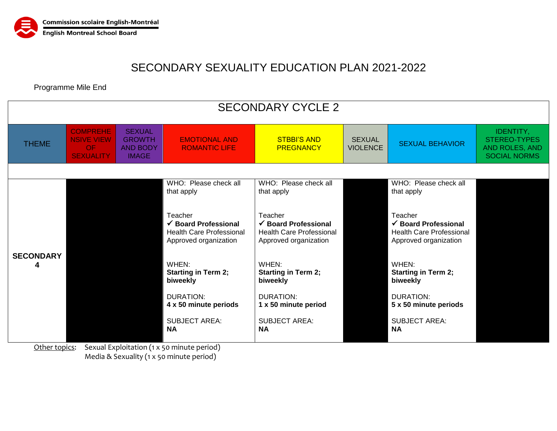

## SECONDARY SEXUALITY EDUCATION PLAN 2021-2022

Programme Mile End

| <b>SECONDARY CYCLE 2</b>                                    |                                                                                                                                            |  |                                                                                        |                                                                    |                                  |                                                                    |                                                                                  |  |  |  |  |  |  |
|-------------------------------------------------------------|--------------------------------------------------------------------------------------------------------------------------------------------|--|----------------------------------------------------------------------------------------|--------------------------------------------------------------------|----------------------------------|--------------------------------------------------------------------|----------------------------------------------------------------------------------|--|--|--|--|--|--|
| <b>THEME</b>                                                | <b>COMPREHE</b><br><b>SEXUAL</b><br><b>NSIVE VIEW</b><br><b>GROWTH</b><br><b>OF</b><br><b>AND BODY</b><br><b>SEXUALITY</b><br><b>IMAGE</b> |  | <b>STBBI'S AND</b><br><b>EMOTIONAL AND</b><br><b>PREGNANCY</b><br><b>ROMANTIC LIFE</b> |                                                                    | <b>SEXUAL</b><br><b>VIOLENCE</b> | <b>SEXUAL BEHAVIOR</b>                                             | <b>IDENTITY,</b><br>STEREO-TYPES<br><b>AND ROLES, AND</b><br><b>SOCIAL NORMS</b> |  |  |  |  |  |  |
|                                                             |                                                                                                                                            |  |                                                                                        |                                                                    |                                  |                                                                    |                                                                                  |  |  |  |  |  |  |
| <b>SECONDARY</b>                                            |                                                                                                                                            |  | WHO: Please check all<br>that apply                                                    | WHO: Please check all<br>that apply                                |                                  | WHO: Please check all<br>that apply                                |                                                                                  |  |  |  |  |  |  |
|                                                             |                                                                                                                                            |  |                                                                                        |                                                                    |                                  |                                                                    |                                                                                  |  |  |  |  |  |  |
|                                                             |                                                                                                                                            |  | Teacher                                                                                | Teacher                                                            |                                  | Teacher                                                            |                                                                                  |  |  |  |  |  |  |
|                                                             |                                                                                                                                            |  | $\checkmark$ Board Professional<br><b>Health Care Professional</b>                     | $\checkmark$ Board Professional<br><b>Health Care Professional</b> |                                  | $\checkmark$ Board Professional<br><b>Health Care Professional</b> |                                                                                  |  |  |  |  |  |  |
|                                                             |                                                                                                                                            |  | Approved organization                                                                  | Approved organization                                              |                                  | Approved organization                                              |                                                                                  |  |  |  |  |  |  |
|                                                             |                                                                                                                                            |  | WHEN:                                                                                  | WHEN:                                                              |                                  | WHEN:                                                              |                                                                                  |  |  |  |  |  |  |
|                                                             |                                                                                                                                            |  | <b>Starting in Term 2;</b><br>biweekly                                                 | <b>Starting in Term 2;</b><br>biweekly                             |                                  | <b>Starting in Term 2;</b><br>biweekly                             |                                                                                  |  |  |  |  |  |  |
|                                                             |                                                                                                                                            |  | <b>DURATION:</b>                                                                       | DURATION:                                                          |                                  | DURATION:                                                          |                                                                                  |  |  |  |  |  |  |
|                                                             |                                                                                                                                            |  | 4 x 50 minute periods                                                                  | 1 x 50 minute period                                               |                                  | 5 x 50 minute periods                                              |                                                                                  |  |  |  |  |  |  |
|                                                             |                                                                                                                                            |  | <b>SUBJECT AREA:</b><br><b>NA</b>                                                      | <b>SUBJECT AREA:</b>                                               |                                  | <b>SUBJECT AREA:</b><br><b>NA</b>                                  |                                                                                  |  |  |  |  |  |  |
|                                                             |                                                                                                                                            |  |                                                                                        | <b>NA</b>                                                          |                                  |                                                                    |                                                                                  |  |  |  |  |  |  |
| Sexual Exploitation (1 x 50 minute period)<br>Other topics: |                                                                                                                                            |  |                                                                                        |                                                                    |                                  |                                                                    |                                                                                  |  |  |  |  |  |  |

Media & Sexuality (1 x 50 minute period)